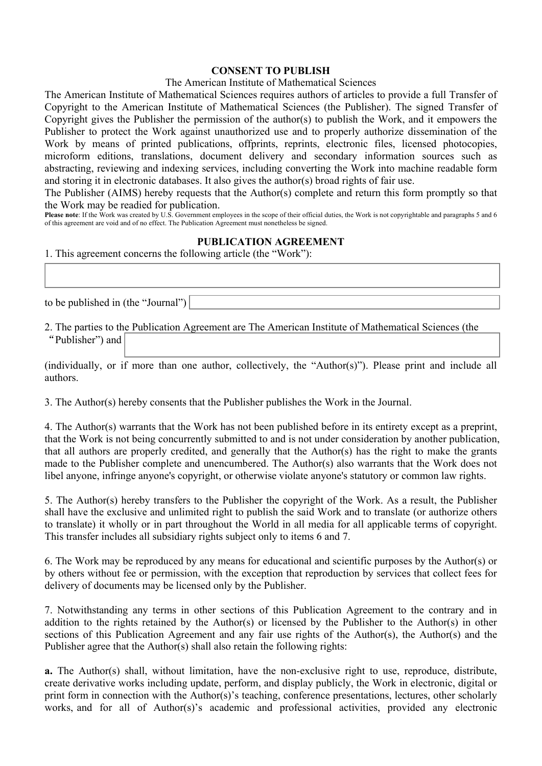## **CONSENT TO PUBLISH**

## The American Institute of Mathematical Sciences

The American Institute of Mathematical Sciences requires authors of articles to provide a full Transfer of Copyright to the American Institute of Mathematical Sciences (the Publisher). The signed Transfer of Copyright gives the Publisher the permission of the author(s) to publish the Work, and it empowers the Publisher to protect the Work against unauthorized use and to properly authorize dissemination of the Work by means of printed publications, offprints, reprints, electronic files, licensed photocopies, microform editions, translations, document delivery and secondary information sources such as abstracting, reviewing and indexing services, including converting the Work into machine readable form and storing it in electronic databases. It also gives the author(s) broad rights of fair use.

The Publisher (AIMS) hereby requests that the Author(s) complete and return this form promptly so that the Work may be readied for publication.

**Please note**: If the Work was created by U.S. Government employees in the scope of their official duties, the Work is not copyrightable and paragraphs 5 and 6 of this agreement are void and of no effect. The Publication Agreement must nonetheless be signed.

## **PUBLICATION AGREEMENT**

1. This agreement concerns the following article (the "Work"):

to be published in (the "Journal")

2. The parties to the Publication Agreement are The American Institute of Mathematical Sciences (the "Publisher") and

(individually, or if more than one author, collectively, the "Author(s)"). Please print and include all authors.

3. The Author(s) hereby consents that the Publisher publishes the Work in the Journal.

4. The Author(s) warrants that the Work has not been published before in its entirety except as a preprint, that the Work is not being concurrently submitted to and is not under consideration by another publication, that all authors are properly credited, and generally that the Author(s) has the right to make the grants made to the Publisher complete and unencumbered. The Author(s) also warrants that the Work does not libel anyone, infringe anyone's copyright, or otherwise violate anyone's statutory or common law rights.

5. The Author(s) hereby transfers to the Publisher the copyright of the Work. As a result, the Publisher shall have the exclusive and unlimited right to publish the said Work and to translate (or authorize others to translate) it wholly or in part throughout the World in all media for all applicable terms of copyright. This transfer includes all subsidiary rights subject only to items 6 and 7.

6. The Work may be reproduced by any means for educational and scientific purposes by the Author(s) or by others without fee or permission, with the exception that reproduction by services that collect fees for delivery of documents may be licensed only by the Publisher.

7. Notwithstanding any terms in other sections of this Publication Agreement to the contrary and in addition to the rights retained by the Author(s) or licensed by the Publisher to the Author(s) in other sections of this Publication Agreement and any fair use rights of the Author(s), the Author(s) and the Publisher agree that the Author(s) shall also retain the following rights:

**a.** The Author(s) shall, without limitation, have the non-exclusive right to use, reproduce, distribute, create derivative works including update, perform, and display publicly, the Work in electronic, digital or print form in connection with the Author(s)'s teaching, conference presentations, lectures, other scholarly works, and for all of Author(s)'s academic and professional activities, provided any electronic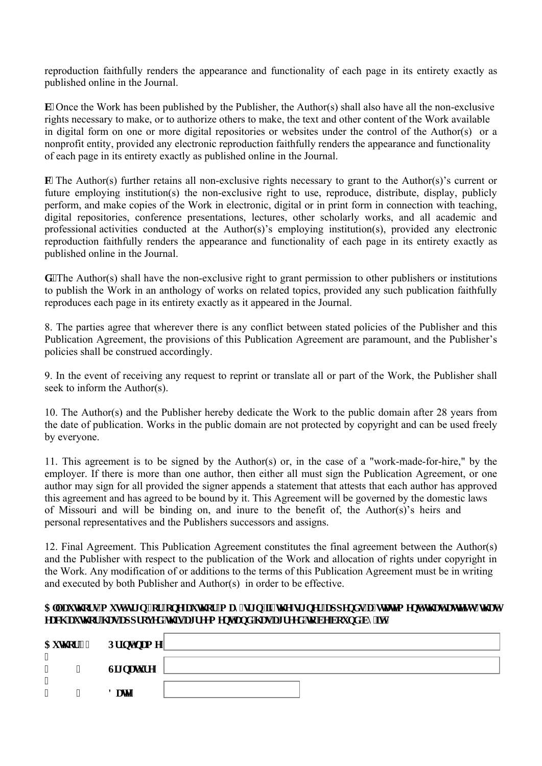reproduction faithfully renders the appearance and functionality of each page in its entirety exactly as published online in the Journal.

**E E** Once the Work has been published by the Publisher, the Author(s) shall also have all the non-exclusive rights necessary to make, or to authorize others to make, the text and other content of the Work available in digital form on one or more digital repositories or websites under the control of the Author(s) or a nonprofit entity, provided any electronic reproduction faithfully renders the appearance and functionality of each page in its entirety exactly as published online in the Journal.

**e0** The Author(s) further retains all non-exclusive rights necessary to grant to the Author(s)'s current or future employing institution(s) the non-exclusive right to use, reproduce, distribute, display, publicly perform, and make copies of the Work in electronic, digital or in print form in connection with teaching, digital repositories, conference presentations, lectures, other scholarly works, and all academic and professional activities conducted at the Author(s)'s employing institution(s), provided any electronic reproduction faithfully renders the appearance and functionality of each page in its entirety exactly as published online in the Journal.

**f** OThe Author(s) shall have the non-exclusive right to grant permission to other publishers or institutions to publish the Work in an anthology of works on related topics, provided any such publication faithfully reproduces each page in its entirety exactly as it appeared in the Journal.

8. The parties agree that wherever there is any conflict between stated policies of the Publisher and this Publication Agreement, the provisions of this Publication Agreement are paramount, and the Publisher's policies shall be construed accordingly.

9. In the event of receiving any request to reprint or translate all or part of the Work, the Publisher shall seek to inform the Author(s).

10. The Author(s) and the Publisher hereby dedicate the Work to the public domain after 28 years from the date of publication. Works in the public domain are not protected by copyright and can be used freely by everyone.

11. This agreement is to be signed by the Author(s) or, in the case of a "work-made-for-hire," by the employer. If there is more than one author, then either all must sign the Publication Agreement, or one author may sign for all provided the signer appends a statement that attests that each author has approved this agreement and has agreed to be bound by it. This Agreement will be governed by the domestic laws of Missouri and will be binding on, and inure to the benefit of, the Author(s)'s heirs and personal representatives and the Publishers successors and assigns.

12. Final Agreement. This Publication Agreement constitutes the final agreement between the Author(s) and the Publisher with respect to the publication of the Work and allocation of rights under copyright in the Work. Any modification of or additions to the terms of this Publication Agreement must be in writing and executed by both Publisher and Author(s) in order to be effective.

## Cnicwj qtu'o ww'ui p.''qt''qpg'cwj qt''o c{''ui p''Hi'yj g''ui pgt''crrgpf u'c''uvcygo gpv'yj cv'cwguvu'yj cv'' ecei 'cwi at 'i cu'crrt axef 'vi ku'ci t ggo gpv'cpf 'i cu'ci t ggf 'vq'dg'dqwpf 'd{ 'k0'

| Cwj qt'3"<br>$^{\bullet}$         |                   | <b>Rthpv'pco</b> g' |
|-----------------------------------|-------------------|---------------------|
| $^{\bullet}$                      | $^{\bullet}$      | Ui pcwtg"           |
| $^{\prime\prime}$<br>$^{\bullet}$ | $^{\prime\prime}$ | Fcw"                |